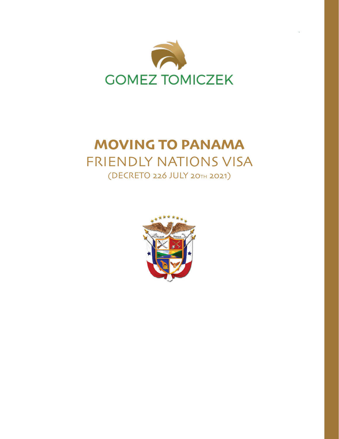

## **MOVING TO PANAMA**  FRIENDLY NATIONS VISA (DECRETO 226 JULY 20TH 2021)

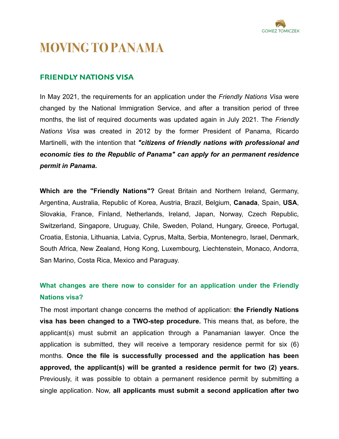

# **MOVING TO PANAMA**

## **FRIENDLY NATIONS VISA**

In May 2021, the requirements for an application under the *Friendly Nations Visa* were changed by the National Immigration Service, and after a transition period of three months, the list of required documents was updated again in July 2021. The *Friendly Nations Visa* was created in 2012 by the former President of Panama, Ricardo Martinelli, with the intention that *"citizens of friendly nations with professional and economic ties to the Republic of Panama" can apply for an permanent residence permit in Panama.*

**Which are the "Friendly Nations"?** Great Britain and Northern Ireland, Germany, Argentina, Australia, Republic of Korea, Austria, Brazil, Belgium, **Canada**, Spain, **USA**, Slovakia, France, Finland, Netherlands, Ireland, Japan, Norway, Czech Republic, Switzerland, Singapore, Uruguay, Chile, Sweden, Poland, Hungary, Greece, Portugal, Croatia, Estonia, Lithuania, Latvia, Cyprus, Malta, Serbia, Montenegro, Israel, Denmark, South Africa, New Zealand, Hong Kong, Luxembourg, Liechtenstein, Monaco, Andorra, San Marino, Costa Rica, Mexico and Paraguay.

## **What changes are there now to consider for an application under the Friendly Nations visa?**

The most important change concerns the method of application: **the Friendly Nations visa has been changed to a TWO-step procedure.** This means that, as before, the applicant(s) must submit an application through a Panamanian lawyer. Once the application is submitted, they will receive a temporary residence permit for six (6) months. **Once the file is successfully processed and the application has been approved, the applicant(s) will be granted a residence permit for two (2) years.**  Previously, it was possible to obtain a permanent residence permit by submitting a single application. Now, **all applicants must submit a second application after two**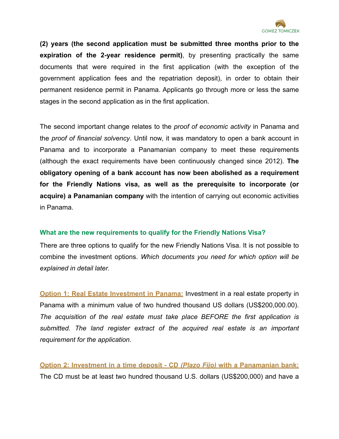

**(2) years (the second application must be submitted three months prior to the expiration of the 2-year residence permit)**, by presenting practically the same documents that were required in the first application (with the exception of the government application fees and the repatriation deposit), in order to obtain their permanent residence permit in Panama. Applicants go through more or less the same stages in the second application as in the first application.

The second important change relates to the *proof of economic activity* in Panama and the *proof of financial solvency*. Until now, it was mandatory to open a bank account in Panama and to incorporate a Panamanian company to meet these requirements (although the exact requirements have been continuously changed since 2012). **The obligatory opening of a bank account has now been abolished as a requirement for the Friendly Nations visa, as well as the prerequisite to incorporate (or acquire) a Panamanian company** with the intention of carrying out economic activities in Panama.

## **What are the new requirements to qualify for the Friendly Nations Visa?**

There are three options to qualify for the new Friendly Nations Visa. It is not possible to combine the investment options. *Which documents you need for which option will be explained in detail later.*

**Option 1: Real Estate Investment in Panama:** Investment in a real estate property in Panama with a minimum value of two hundred thousand US dollars (US\$200,000.00). *The acquisition of the real estate must take place BEFORE the first application is submitted. The land register extract of the acquired real estate is an important requirement for the application.* 

**Option 2: Investment in a time deposit - CD** *(Plazo Fijo)* **with a Panamanian bank:**  The CD must be at least two hundred thousand U.S. dollars (US\$200,000) and have a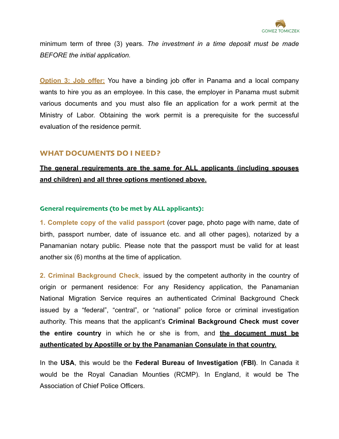

minimum term of three (3) years. *The investment in a time deposit must be made BEFORE the initial application.*

**Option 3: Job offer:** You have a binding job offer in Panama and a local company wants to hire you as an employee. In this case, the employer in Panama must submit various documents and you must also file an application for a work permit at the Ministry of Labor. Obtaining the work permit is a prerequisite for the successful evaluation of the residence permit.

## **WHAT DOCUMENTS DO I NEED?**

## **The general requirements are the same for ALL applicants (including spouses and children) and all three options mentioned above.**

#### **General requirements (to be met by ALL applicants):**

**1. Complete copy of the valid passport** (cover page, photo page with name, date of birth, passport number, date of issuance etc. and all other pages), notarized by a Panamanian notary public. Please note that the passport must be valid for at least another six (6) months at the time of application.

**2. Criminal Background Check**, issued by the competent authority in the country of origin or permanent residence: For any Residency application, the Panamanian National Migration Service requires an authenticated Criminal Background Check issued by a "federal", "central", or "national" police force or criminal investigation authority. This means that the applicant's **Criminal Background Check must cover the entire country** in which he or she is from, and **the document must be authenticated by Apostille or by the Panamanian Consulate in that country.**

In the **USA**, this would be the **Federal Bureau of Investigation (FBI)**. In Canada it would be the Royal Canadian Mounties (RCMP). In England, it would be The Association of Chief Police Officers.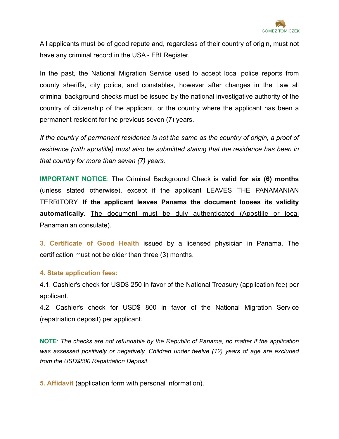

All applicants must be of good repute and, regardless of their country of origin, must not have any criminal record in the USA - FBI Register.

In the past, the National Migration Service used to accept local police reports from county sheriffs, city police, and constables, however after changes in the Law all criminal background checks must be issued by the national investigative authority of the country of citizenship of the applicant, or the country where the applicant has been a permanent resident for the previous seven (7) years.

*If the country of permanent residence is not the same as the country of origin, a proof of residence (with apostille) must also be submitted stating that the residence has been in that country for more than seven (7) years.* 

**IMPORTANT NOTICE**: The Criminal Background Check is **valid for six (6) months**  (unless stated otherwise), except if the applicant LEAVES THE PANAMANIAN TERRITORY. **If the applicant leaves Panama the document looses its validity automatically.** The document must be duly authenticated (Apostille or local Panamanian consulate).

**3. Certificate of Good Health** issued by a licensed physician in Panama. The certification must not be older than three (3) months.

## **4. State application fees:**

4.1. Cashier's check for USD\$ 250 in favor of the National Treasury (application fee) per applicant.

4.2. Cashier's check for USD\$ 800 in favor of the National Migration Service (repatriation deposit) per applicant.

**NOTE**: *The checks are not refundable by the Republic of Panama, no matter if the application was assessed positively or negatively. Children under twelve (12) years of age are excluded from the USD\$800 Repatriation Deposit.*

**5. Affidavit** (application form with personal information).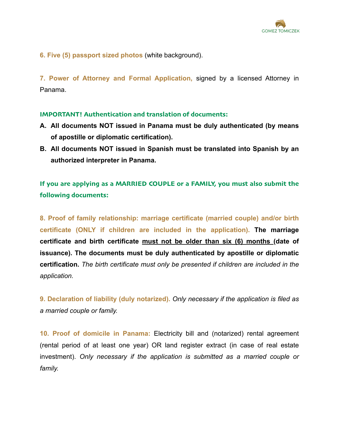

**6. Five (5) passport sized photos** (white background).

**7. Power of Attorney and Formal Application,** signed by a licensed Attorney in Panama.

#### **IMPORTANT! Authentication and translation of documents:**

- **A. All documents NOT issued in Panama must be duly authenticated (by means of apostille or diplomatic certification).**
- **B. All documents NOT issued in Spanish must be translated into Spanish by an authorized interpreter in Panama.**

**If you are applying as a MARRIED COUPLE or a FAMILY, you must also submit the following documents:** 

**8. Proof of family relationship: marriage certificate (married couple) and/or birth certificate (ONLY if children are included in the application). The marriage certificate and birth certificate must not be older than six (6) months (date of issuance). The documents must be duly authenticated by apostille or diplomatic certification.** *The birth certificate must only be presented if children are included in the application.*

**9. Declaration of liability (duly notarized).** *Only necessary if the application is filed as a married couple or family.* 

**10. Proof of domicile in Panama:** Electricity bill and (notarized) rental agreement (rental period of at least one year) OR land register extract (in case of real estate investment). *Only necessary if the application is submitted as a married couple or family.*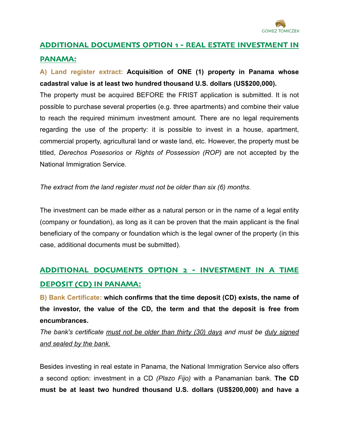

# **ADDITIONAL DOCUMENTS OPTION 1 - REAL ESTATE INVESTMENT IN**

## **PANAMA:**

## **A) Land register extract: Acquisition of ONE (1) property in Panama whose cadastral value is at least two hundred thousand U.S. dollars (US\$200,000).**

The property must be acquired BEFORE the FRIST application is submitted. It is not possible to purchase several properties (e.g. three apartments) and combine their value to reach the required minimum investment amount. There are no legal requirements regarding the use of the property: it is possible to invest in a house, apartment, commercial property, agricultural land or waste land, etc. However, the property must be titled, *Derechos Posesorios* or *Rights of Possession (ROP)* are not accepted by the National Immigration Service.

*The extract from the land register must not be older than six (6) months.*

The investment can be made either as a natural person or in the name of a legal entity (company or foundation), as long as it can be proven that the main applicant is the final beneficiary of the company or foundation which is the legal owner of the property (in this case, additional documents must be submitted).

## **ADDITIONAL DOCUMENTS OPTION 2 - INVESTMENT IN A TIME DEPOSIT (CD) IN PANAMA:**

**B) Bank Certificate: which confirms that the time deposit (CD) exists, the name of the investor, the value of the CD, the term and that the deposit is free from encumbrances.** 

*The bank's certificate must not be older than thirty (30) days and must be duly signed and sealed by the bank.*

Besides investing in real estate in Panama, the National Immigration Service also offers a second option: investment in a CD *(Plazo Fijo)* with a Panamanian bank. **The CD must be at least two hundred thousand U.S. dollars (US\$200,000) and have a**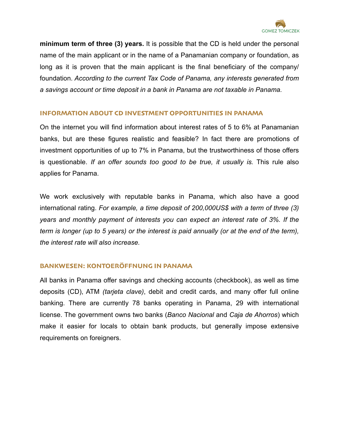

**minimum term of three (3) years.** It is possible that the CD is held under the personal name of the main applicant or in the name of a Panamanian company or foundation, as long as it is proven that the main applicant is the final beneficiary of the company/ foundation. *According to the current Tax Code of Panama, any interests generated from a savings account or time deposit in a bank in Panama are not taxable in Panama.* 

## **INFORMATION ABOUT CD INVESTMENT OPPORTUNITIES IN PANAMA**

On the internet you will find information about interest rates of 5 to 6% at Panamanian banks, but are these figures realistic and feasible? In fact there are promotions of investment opportunities of up to 7% in Panama, but the trustworthiness of those offers is questionable. *If an offer sounds too good to be true, it usually is.* This rule also applies for Panama.

We work exclusively with reputable banks in Panama, which also have a good international rating. *For example, a time deposit of 200,000US\$ with a term of three (3) years and monthly payment of interests you can expect an interest rate of 3%. If the term is longer (up to 5 years) or the interest is paid annually (or at the end of the term), the interest rate will also increase.* 

## **BANKWESEN: KONTOERÖFFNUNG IN PANAMA**

All banks in Panama offer savings and checking accounts (checkbook), as well as time deposits (CD), ATM *(tarjeta clave)*, debit and credit cards, and many offer full online banking. There are currently 78 banks operating in Panama, 29 with international license. The government owns two banks (*Banco Nacional* and *Caja de Ahorros*) which make it easier for locals to obtain bank products, but generally impose extensive requirements on foreigners.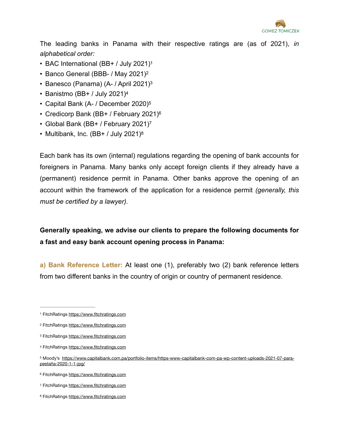

The leading banks in Panama with their respective ratings are (as of 2021), *in alphabetical order:* 

- <span id="page-8-8"></span>• BAC International (BB+ / July 2021)[1](#page-8-0)
- <span id="page-8-9"></span>• Banco General (BBB- / May 2021)[2](#page-8-1)
- <span id="page-8-10"></span>• Banesco (Panama) (A- / April 2021[\)3](#page-8-2)
- <span id="page-8-11"></span>• Banistmo (BB+ / July 2021)[4](#page-8-3)
- <span id="page-8-12"></span>• Capital Bank (A- / December 2020)[5](#page-8-4)
- <span id="page-8-13"></span>• Credicorp Bank (BB+ / February 2021)[6](#page-8-5)
- <span id="page-8-14"></span>• Global Bank (BB+ / February 2021)[7](#page-8-6)
- <span id="page-8-15"></span>• Multibank, Inc. (BB+ / July 2021)<sup>[8](#page-8-7)</sup>

Each bank has its own (internal) regulations regarding the opening of bank accounts for foreigners in Panama. Many banks only accept foreign clients if they already have a (permanent) residence permit in Panama. Other banks approve the opening of an account within the framework of the application for a residence permit *(generally, this must be certified by a lawyer).*

**Generally speaking, we advise our clients to prepare the following documents for a fast and easy bank account opening process in Panama:** 

**a) Bank Reference Letter:** At least one (1), preferably two (2) bank reference letters from two different banks in the country of origin or country of permanent residence.

<span id="page-8-0"></span>[<sup>1</sup>](#page-8-8) FitchRatings<https://www.fitchratings.com>

<span id="page-8-1"></span>[<sup>2</sup>](#page-8-9) FitchRatings<https://www.fitchratings.com>

<span id="page-8-2"></span>[<sup>3</sup>](#page-8-10) FitchRatings<https://www.fitchratings.com>

<span id="page-8-3"></span>[<sup>4</sup>](#page-8-11) FitchRatings<https://www.fitchratings.com>

<span id="page-8-4"></span><sup>5</sup> Moody's [https://www.capitalbank.com.pa/portfolio-items/https-www-capitalbank-com-pa-wp-content-uploads-2021-07-para](https://www.capitalbank.com.pa/portfolio-items/https-www-capitalbank-com-pa-wp-content-uploads-2021-07-para-pesta%C3%B1a-2020-1-1-jpg/) [pestaña-2020-1-1-jpg/](https://www.capitalbank.com.pa/portfolio-items/https-www-capitalbank-com-pa-wp-content-uploads-2021-07-para-pesta%C3%B1a-2020-1-1-jpg/)

<span id="page-8-5"></span>[<sup>6</sup>](#page-8-13) FitchRatings<https://www.fitchratings.com>

<span id="page-8-6"></span>[<sup>7</sup>](#page-8-14) FitchRatings<https://www.fitchratings.com>

<span id="page-8-7"></span>[<sup>8</sup>](#page-8-15) FitchRatings<https://www.fitchratings.com>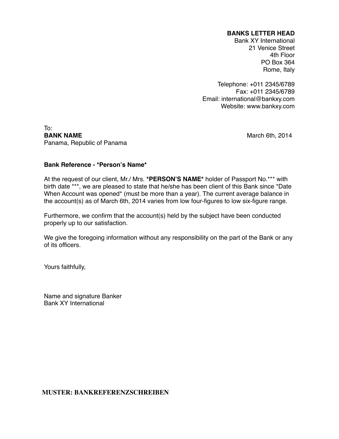#### **BANKS LETTER HEAD**

Bank XY International 21 Venice Street 4th Floor PO Box 364 Rome, Italy

Telephone: +011 2345/6789 Fax: +011 2345/6789 Email: international@bankxy.com Website: www.bankxy.com

To:<br>**BANK NAME** Panama, Republic of Panama

**March 6th, 2014** 

#### **Bank Reference - \*Person's Name\***

At the request of our client, Mr./ Mrs. **\*PERSON'S NAME\*** holder of Passport No.\*\*\* with birth date \*\*\*, we are pleased to state that he/she has been client of this Bank since \*Date When Account was opened\* (must be more than a year). The current average balance in the account(s) as of March 6th, 2014 varies from low four-figures to low six-figure range.

Furthermore, we confirm that the account(s) held by the subject have been conducted properly up to our satisfaction.

We give the foregoing information without any responsibility on the part of the Bank or any of its officers.

Yours faithfully,

Name and signature Banker Bank XY International

#### **MUSTER: BANKREFERENZSCHREIBEN**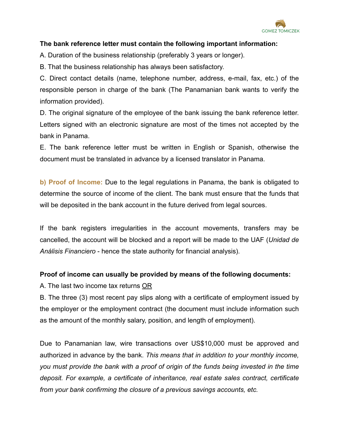

## **The bank reference letter must contain the following important information:**

A. Duration of the business relationship (preferably 3 years or longer).

B. That the business relationship has always been satisfactory.

C. Direct contact details (name, telephone number, address, e-mail, fax, etc.) of the responsible person in charge of the bank (The Panamanian bank wants to verify the information provided).

D. The original signature of the employee of the bank issuing the bank reference letter. Letters signed with an electronic signature are most of the times not accepted by the bank in Panama.

E. The bank reference letter must be written in English or Spanish, otherwise the document must be translated in advance by a licensed translator in Panama.

**b) Proof of Income:** Due to the legal regulations in Panama, the bank is obligated to determine the source of income of the client. The bank must ensure that the funds that will be deposited in the bank account in the future derived from legal sources.

If the bank registers irregularities in the account movements, transfers may be cancelled, the account will be blocked and a report will be made to the UAF (*Unidad de Análisis Financiero* - hence the state authority for financial analysis).

## **Proof of income can usually be provided by means of the following documents:**

A. The last two income tax returns OR

B. The three (3) most recent pay slips along with a certificate of employment issued by the employer or the employment contract (the document must include information such as the amount of the monthly salary, position, and length of employment).

Due to Panamanian law, wire transactions over US\$10,000 must be approved and authorized in advance by the bank. *This means that in addition to your monthly income, you must provide the bank with a proof of origin of the funds being invested in the time deposit. For example, a certificate of inheritance, real estate sales contract, certificate from your bank confirming the closure of a previous savings accounts, etc.*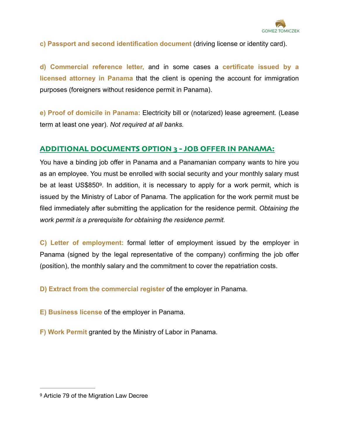

**c) Passport and second identification document** (driving license or identity card).

**d) Commercial reference letter,** and in some cases a **certificate issued by a licensed attorney in Panama** that the client is opening the account for immigration purposes (foreigners without residence permit in Panama).

**e) Proof of domicile in Panama:** Electricity bill or (notarized) lease agreement. (Lease term at least one year). *Not required at all banks.*

## **ADDITIONAL DOCUMENTS OPTION 3 - JOB OFFER IN PANAMA:**

<span id="page-11-1"></span>You have a binding job offer in Panama and a Panamanian company wants to hire you as an employee. You must be enrolled with social security and your monthly salary must be at least US\$850<sup>[9](#page-11-0)</sup>. In addition, it is necessary to apply for a work permit, which is issued by the Ministry of Labor of Panama. The application for the work permit must be filed immediately after submitting the application for the residence permit. *Obtaining the work permit is a prerequisite for obtaining the residence permit.*

**C) Letter of employment:** formal letter of employment issued by the employer in Panama (signed by the legal representative of the company) confirming the job offer (position), the monthly salary and the commitment to cover the repatriation costs.

**D) Extract from the commercial register** of the employer in Panama.

**E) Business license** of the employer in Panama.

**F) Work Permit** granted by the Ministry of Labor in Panama.

<span id="page-11-0"></span>[<sup>9</sup>](#page-11-1) Article 79 of the Migration Law Decree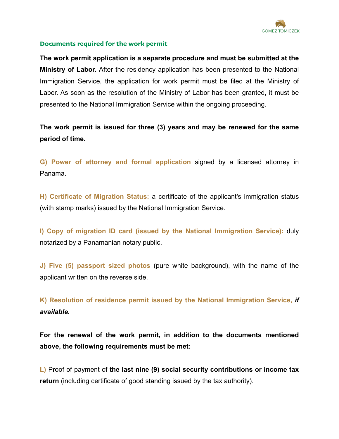

## **Documents required for the work permit**

**The work permit application is a separate procedure and must be submitted at the Ministry of Labor.** After the residency application has been presented to the National Immigration Service, the application for work permit must be filed at the Ministry of Labor. As soon as the resolution of the Ministry of Labor has been granted, it must be presented to the National Immigration Service within the ongoing proceeding.

**The work permit is issued for three (3) years and may be renewed for the same period of time.** 

**G) Power of attorney and formal application** signed by a licensed attorney in Panama.

**H) Certificate of Migration Status:** a certificate of the applicant's immigration status (with stamp marks) issued by the National Immigration Service.

**I) Copy of migration ID card (issued by the National Immigration Service):** duly notarized by a Panamanian notary public.

**J) Five (5) passport sized photos** (pure white background), with the name of the applicant written on the reverse side.

**K) Resolution of residence permit issued by the National Immigration Service,** *if available.* 

**For the renewal of the work permit, in addition to the documents mentioned above, the following requirements must be met:** 

**L)** Proof of payment of **the last nine (9) social security contributions or income tax return** (including certificate of good standing issued by the tax authority).